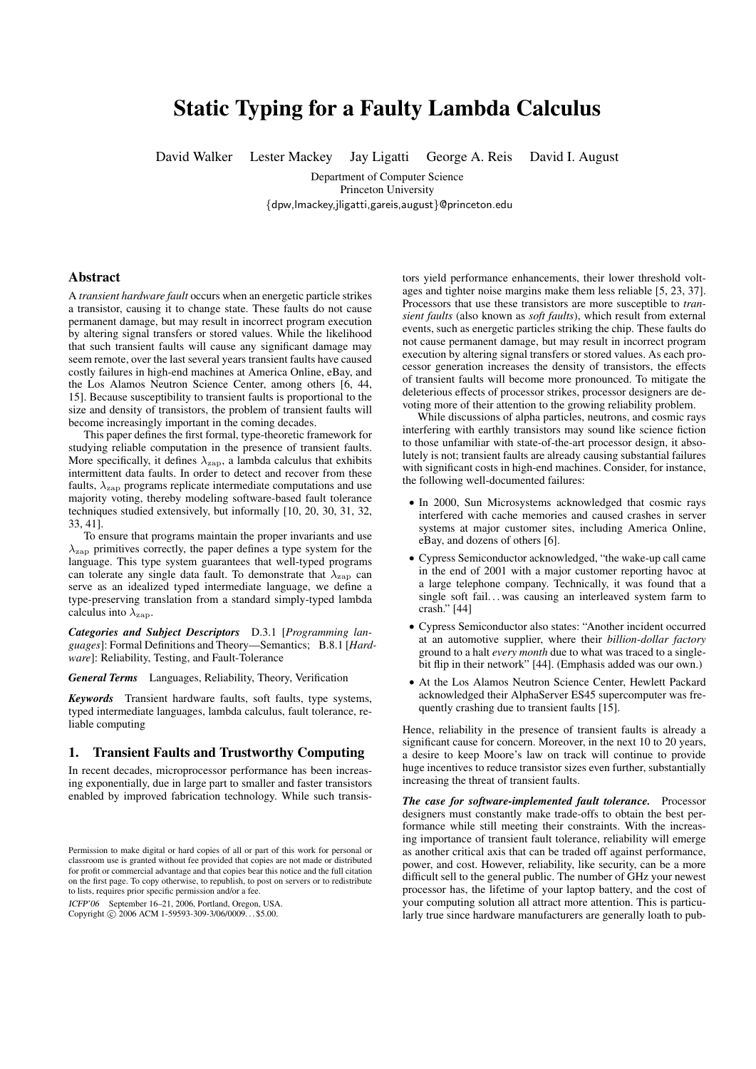# Static Typing for a Faulty Lambda Calculus

David Walker Lester Mackey Jay Ligatti George A. Reis David I. August

Department of Computer Science

Princeton University

{dpw,lmackey,jligatti,gareis,august}@princeton.edu

## Abstract

A *transient hardware fault* occurs when an energetic particle strikes a transistor, causing it to change state. These faults do not cause permanent damage, but may result in incorrect program execution by altering signal transfers or stored values. While the likelihood that such transient faults will cause any significant damage may seem remote, over the last several years transient faults have caused costly failures in high-end machines at America Online, eBay, and the Los Alamos Neutron Science Center, among others [6, 44, 15]. Because susceptibility to transient faults is proportional to the size and density of transistors, the problem of transient faults will become increasingly important in the coming decades.

This paper defines the first formal, type-theoretic framework for studying reliable computation in the presence of transient faults. More specifically, it defines  $\lambda_{\text{zap}}$ , a lambda calculus that exhibits intermittent data faults. In order to detect and recover from these faults,  $\lambda_{\text{zap}}$  programs replicate intermediate computations and use majority voting, thereby modeling software-based fault tolerance techniques studied extensively, but informally [10, 20, 30, 31, 32, 33, 41].

To ensure that programs maintain the proper invariants and use  $\lambda_{\text{zap}}$  primitives correctly, the paper defines a type system for the language. This type system guarantees that well-typed programs can tolerate any single data fault. To demonstrate that  $\lambda_{\rm{zap}}$  can serve as an idealized typed intermediate language, we define a type-preserving translation from a standard simply-typed lambda calculus into  $\lambda_{\text{zap}}$ .

*Categories and Subject Descriptors* D.3.1 [*Programming languages*]: Formal Definitions and Theory—Semantics; B.8.1 [*Hardware*]: Reliability, Testing, and Fault-Tolerance

*General Terms* Languages, Reliability, Theory, Verification

*Keywords* Transient hardware faults, soft faults, type systems, typed intermediate languages, lambda calculus, fault tolerance, reliable computing

## 1. Transient Faults and Trustworthy Computing

In recent decades, microprocessor performance has been increasing exponentially, due in large part to smaller and faster transistors enabled by improved fabrication technology. While such transis-

ICFP'06 September 16–21, 2006, Portland, Oregon, USA.

tors yield performance enhancements, their lower threshold voltages and tighter noise margins make them less reliable [5, 23, 37]. Processors that use these transistors are more susceptible to *transient faults* (also known as *soft faults*), which result from external events, such as energetic particles striking the chip. These faults do not cause permanent damage, but may result in incorrect program execution by altering signal transfers or stored values. As each processor generation increases the density of transistors, the effects of transient faults will become more pronounced. To mitigate the deleterious effects of processor strikes, processor designers are devoting more of their attention to the growing reliability problem.

While discussions of alpha particles, neutrons, and cosmic rays interfering with earthly transistors may sound like science fiction to those unfamiliar with state-of-the-art processor design, it absolutely is not; transient faults are already causing substantial failures with significant costs in high-end machines. Consider, for instance, the following well-documented failures:

- In 2000, Sun Microsystems acknowledged that cosmic rays interfered with cache memories and caused crashes in server systems at major customer sites, including America Online, eBay, and dozens of others [6].
- Cypress Semiconductor acknowledged, "the wake-up call came in the end of 2001 with a major customer reporting havoc at a large telephone company. Technically, it was found that a single soft fail...was causing an interleaved system farm to crash." [44]
- Cypress Semiconductor also states: "Another incident occurred at an automotive supplier, where their *billion-dollar factory* ground to a halt *every month* due to what was traced to a singlebit flip in their network" [44]. (Emphasis added was our own.)
- At the Los Alamos Neutron Science Center, Hewlett Packard acknowledged their AlphaServer ES45 supercomputer was frequently crashing due to transient faults [15].

Hence, reliability in the presence of transient faults is already a significant cause for concern. Moreover, in the next 10 to 20 years, a desire to keep Moore's law on track will continue to provide huge incentives to reduce transistor sizes even further, substantially increasing the threat of transient faults.

*The case for software-implemented fault tolerance.* Processor designers must constantly make trade-offs to obtain the best performance while still meeting their constraints. With the increasing importance of transient fault tolerance, reliability will emerge as another critical axis that can be traded off against performance, power, and cost. However, reliability, like security, can be a more difficult sell to the general public. The number of GHz your newest processor has, the lifetime of your laptop battery, and the cost of your computing solution all attract more attention. This is particularly true since hardware manufacturers are generally loath to pub-

Permission to make digital or hard copies of all or part of this work for personal or classroom use is granted without fee provided that copies are not made or distributed for profit or commercial advantage and that copies bear this notice and the full citation on the first page. To copy otherwise, to republish, to post on servers or to redistribute to lists, requires prior specific permission and/or a fee.

Copyright © 2006 ACM 1-59593-309-3/06/0009...\$5.00.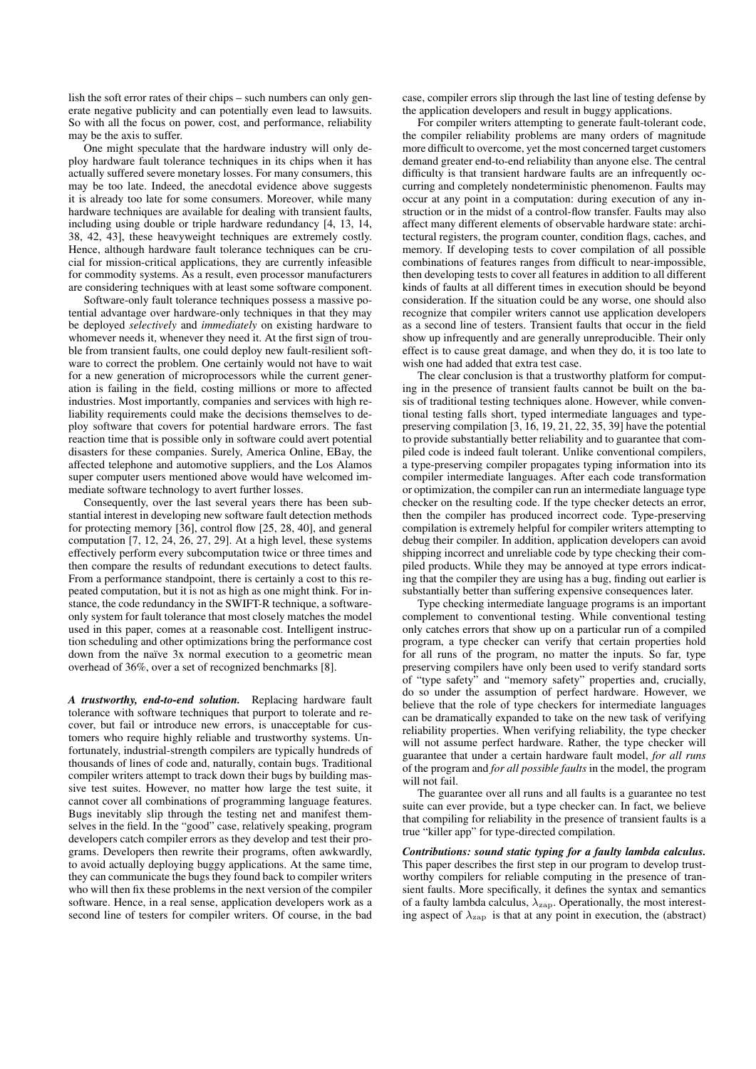lish the soft error rates of their chips – such numbers can only generate negative publicity and can potentially even lead to lawsuits. So with all the focus on power, cost, and performance, reliability may be the axis to suffer.

One might speculate that the hardware industry will only deploy hardware fault tolerance techniques in its chips when it has actually suffered severe monetary losses. For many consumers, this may be too late. Indeed, the anecdotal evidence above suggests it is already too late for some consumers. Moreover, while many hardware techniques are available for dealing with transient faults, including using double or triple hardware redundancy [4, 13, 14, 38, 42, 43], these heavyweight techniques are extremely costly. Hence, although hardware fault tolerance techniques can be crucial for mission-critical applications, they are currently infeasible for commodity systems. As a result, even processor manufacturers are considering techniques with at least some software component.

Software-only fault tolerance techniques possess a massive potential advantage over hardware-only techniques in that they may be deployed *selectively* and *immediately* on existing hardware to whomever needs it, whenever they need it. At the first sign of trouble from transient faults, one could deploy new fault-resilient software to correct the problem. One certainly would not have to wait for a new generation of microprocessors while the current generation is failing in the field, costing millions or more to affected industries. Most importantly, companies and services with high reliability requirements could make the decisions themselves to deploy software that covers for potential hardware errors. The fast reaction time that is possible only in software could avert potential disasters for these companies. Surely, America Online, EBay, the affected telephone and automotive suppliers, and the Los Alamos super computer users mentioned above would have welcomed immediate software technology to avert further losses.

Consequently, over the last several years there has been substantial interest in developing new software fault detection methods for protecting memory [36], control flow [25, 28, 40], and general computation [7, 12, 24, 26, 27, 29]. At a high level, these systems effectively perform every subcomputation twice or three times and then compare the results of redundant executions to detect faults. From a performance standpoint, there is certainly a cost to this repeated computation, but it is not as high as one might think. For instance, the code redundancy in the SWIFT-R technique, a softwareonly system for fault tolerance that most closely matches the model used in this paper, comes at a reasonable cost. Intelligent instruction scheduling and other optimizations bring the performance cost down from the naïve 3x normal execution to a geometric mean overhead of 36%, over a set of recognized benchmarks [8].

*A trustworthy, end-to-end solution.* Replacing hardware fault tolerance with software techniques that purport to tolerate and recover, but fail or introduce new errors, is unacceptable for customers who require highly reliable and trustworthy systems. Unfortunately, industrial-strength compilers are typically hundreds of thousands of lines of code and, naturally, contain bugs. Traditional compiler writers attempt to track down their bugs by building massive test suites. However, no matter how large the test suite, it cannot cover all combinations of programming language features. Bugs inevitably slip through the testing net and manifest themselves in the field. In the "good" case, relatively speaking, program developers catch compiler errors as they develop and test their programs. Developers then rewrite their programs, often awkwardly, to avoid actually deploying buggy applications. At the same time, they can communicate the bugs they found back to compiler writers who will then fix these problems in the next version of the compiler software. Hence, in a real sense, application developers work as a second line of testers for compiler writers. Of course, in the bad case, compiler errors slip through the last line of testing defense by the application developers and result in buggy applications.

For compiler writers attempting to generate fault-tolerant code, the compiler reliability problems are many orders of magnitude more difficult to overcome, yet the most concerned target customers demand greater end-to-end reliability than anyone else. The central difficulty is that transient hardware faults are an infrequently occurring and completely nondeterministic phenomenon. Faults may occur at any point in a computation: during execution of any instruction or in the midst of a control-flow transfer. Faults may also affect many different elements of observable hardware state: architectural registers, the program counter, condition flags, caches, and memory. If developing tests to cover compilation of all possible combinations of features ranges from difficult to near-impossible, then developing tests to cover all features in addition to all different kinds of faults at all different times in execution should be beyond consideration. If the situation could be any worse, one should also recognize that compiler writers cannot use application developers as a second line of testers. Transient faults that occur in the field show up infrequently and are generally unreproducible. Their only effect is to cause great damage, and when they do, it is too late to wish one had added that extra test case.

The clear conclusion is that a trustworthy platform for computing in the presence of transient faults cannot be built on the basis of traditional testing techniques alone. However, while conventional testing falls short, typed intermediate languages and typepreserving compilation [3, 16, 19, 21, 22, 35, 39] have the potential to provide substantially better reliability and to guarantee that compiled code is indeed fault tolerant. Unlike conventional compilers, a type-preserving compiler propagates typing information into its compiler intermediate languages. After each code transformation or optimization, the compiler can run an intermediate language type checker on the resulting code. If the type checker detects an error, then the compiler has produced incorrect code. Type-preserving compilation is extremely helpful for compiler writers attempting to debug their compiler. In addition, application developers can avoid shipping incorrect and unreliable code by type checking their compiled products. While they may be annoyed at type errors indicating that the compiler they are using has a bug, finding out earlier is substantially better than suffering expensive consequences later.

Type checking intermediate language programs is an important complement to conventional testing. While conventional testing only catches errors that show up on a particular run of a compiled program, a type checker can verify that certain properties hold for all runs of the program, no matter the inputs. So far, type preserving compilers have only been used to verify standard sorts of "type safety" and "memory safety" properties and, crucially, do so under the assumption of perfect hardware. However, we believe that the role of type checkers for intermediate languages can be dramatically expanded to take on the new task of verifying reliability properties. When verifying reliability, the type checker will not assume perfect hardware. Rather, the type checker will guarantee that under a certain hardware fault model, *for all runs* of the program and *for all possible faults* in the model, the program will not fail.

The guarantee over all runs and all faults is a guarantee no test suite can ever provide, but a type checker can. In fact, we believe that compiling for reliability in the presence of transient faults is a true "killer app" for type-directed compilation.

*Contributions: sound static typing for a faulty lambda calculus.* This paper describes the first step in our program to develop trustworthy compilers for reliable computing in the presence of transient faults. More specifically, it defines the syntax and semantics of a faulty lambda calculus,  $\lambda_{\text{zap}}$ . Operationally, the most interesting aspect of  $\lambda_{\text{zap}}$  is that at any point in execution, the (abstract)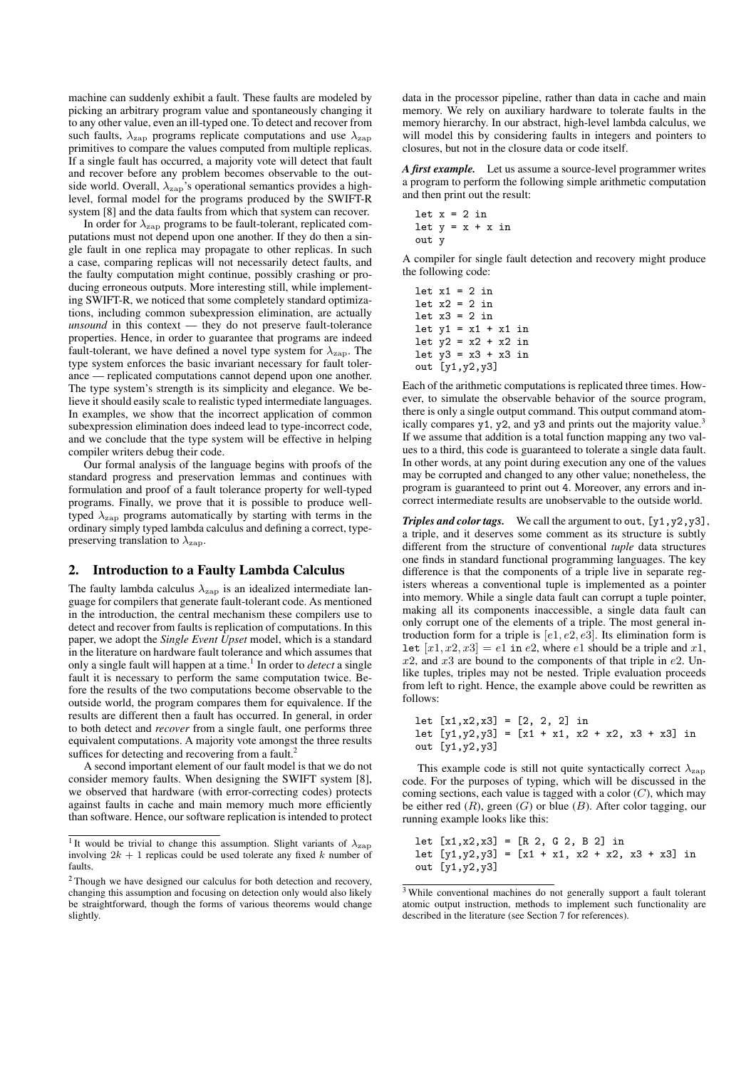machine can suddenly exhibit a fault. These faults are modeled by picking an arbitrary program value and spontaneously changing it to any other value, even an ill-typed one. To detect and recover from such faults,  $\lambda_{\rm{zap}}$  programs replicate computations and use  $\lambda_{\rm{zap}}$ primitives to compare the values computed from multiple replicas. If a single fault has occurred, a majority vote will detect that fault and recover before any problem becomes observable to the outside world. Overall,  $\lambda_{\rm{zap}}$ 's operational semantics provides a highlevel, formal model for the programs produced by the SWIFT-R system [8] and the data faults from which that system can recover.

In order for  $\lambda_{\text{zap}}$  programs to be fault-tolerant, replicated computations must not depend upon one another. If they do then a single fault in one replica may propagate to other replicas. In such a case, comparing replicas will not necessarily detect faults, and the faulty computation might continue, possibly crashing or producing erroneous outputs. More interesting still, while implementing SWIFT-R, we noticed that some completely standard optimizations, including common subexpression elimination, are actually *unsound* in this context — they do not preserve fault-tolerance properties. Hence, in order to guarantee that programs are indeed fault-tolerant, we have defined a novel type system for  $\lambda_{\text{zap}}$ . The type system enforces the basic invariant necessary for fault tolerance — replicated computations cannot depend upon one another. The type system's strength is its simplicity and elegance. We believe it should easily scale to realistic typed intermediate languages. In examples, we show that the incorrect application of common subexpression elimination does indeed lead to type-incorrect code, and we conclude that the type system will be effective in helping compiler writers debug their code.

Our formal analysis of the language begins with proofs of the standard progress and preservation lemmas and continues with formulation and proof of a fault tolerance property for well-typed programs. Finally, we prove that it is possible to produce welltyped  $\lambda_{\text{zap}}$  programs automatically by starting with terms in the ordinary simply typed lambda calculus and defining a correct, typepreserving translation to  $\lambda_{\text{zap}}$ .

## 2. Introduction to a Faulty Lambda Calculus

The faulty lambda calculus  $\lambda_{\text{zap}}$  is an idealized intermediate language for compilers that generate fault-tolerant code. As mentioned in the introduction, the central mechanism these compilers use to detect and recover from faults is replication of computations. In this paper, we adopt the *Single Event Upset* model, which is a standard in the literature on hardware fault tolerance and which assumes that only a single fault will happen at a time.<sup>1</sup> In order to *detect* a single fault it is necessary to perform the same computation twice. Before the results of the two computations become observable to the outside world, the program compares them for equivalence. If the results are different then a fault has occurred. In general, in order to both detect and *recover* from a single fault, one performs three equivalent computations. A majority vote amongst the three results suffices for detecting and recovering from a fault.<sup>2</sup>

A second important element of our fault model is that we do not consider memory faults. When designing the SWIFT system [8], we observed that hardware (with error-correcting codes) protects against faults in cache and main memory much more efficiently than software. Hence, our software replication is intended to protect data in the processor pipeline, rather than data in cache and main memory. We rely on auxiliary hardware to tolerate faults in the memory hierarchy. In our abstract, high-level lambda calculus, we will model this by considering faults in integers and pointers to closures, but not in the closure data or code itself.

*A first example.* Let us assume a source-level programmer writes a program to perform the following simple arithmetic computation and then print out the result:

let 
$$
x = 2
$$
 in

\nlet  $y = x + x$  in

\nout  $y$ 

A compiler for single fault detection and recovery might produce the following code:

| $let x1 = 2 in$       |  |  |  |
|-----------------------|--|--|--|
| $let x2 = 2 in$       |  |  |  |
| $let x3 = 2 in$       |  |  |  |
| $let y1 = x1 + x1 in$ |  |  |  |
| $let y2 = x2 + x2 in$ |  |  |  |
| $let y3 = x3 + x3 in$ |  |  |  |
| out [y1,y2,y3]        |  |  |  |

Each of the arithmetic computations is replicated three times. However, to simulate the observable behavior of the source program, there is only a single output command. This output command atomically compares y1, y2, and y3 and prints out the majority value.<sup>3</sup> If we assume that addition is a total function mapping any two values to a third, this code is guaranteed to tolerate a single data fault. In other words, at any point during execution any one of the values may be corrupted and changed to any other value; nonetheless, the program is guaranteed to print out 4. Moreover, any errors and incorrect intermediate results are unobservable to the outside world.

*Triples and color tags.* We call the argument to out, [y1,y2,y3], a triple, and it deserves some comment as its structure is subtly different from the structure of conventional *tuple* data structures one finds in standard functional programming languages. The key difference is that the components of a triple live in separate registers whereas a conventional tuple is implemented as a pointer into memory. While a single data fault can corrupt a tuple pointer, making all its components inaccessible, a single data fault can only corrupt one of the elements of a triple. The most general introduction form for a triple is  $[e1, e2, e3]$ . Its elimination form is let  $[x1, x2, x3] = e1$  in e2, where e1 should be a triple and  $x1$ ,  $x2$ , and  $x3$  are bound to the components of that triple in  $e2$ . Unlike tuples, triples may not be nested. Triple evaluation proceeds from left to right. Hence, the example above could be rewritten as follows:

```
let [x1,x2,x3] = [2, 2, 2] in
let [y1, y2, y3] = [x1 + x1, x2 + x2, x3 + x3] in
out [y1,y2,y3]
```
This example code is still not quite syntactically correct  $\lambda_{\text{zap}}$ code. For the purposes of typing, which will be discussed in the coming sections, each value is tagged with a color  $(C)$ , which may be either red  $(R)$ , green  $(G)$  or blue  $(B)$ . After color tagging, our running example looks like this:

```
let [x1,x2,x3] = [R 2, G 2, B 2] in
let [y1,y2,y3] = [x1 + x1, x2 + x2, x3 + x3] in
out [y1,y2,y3]
```
<sup>&</sup>lt;sup>1</sup> It would be trivial to change this assumption. Slight variants of  $\lambda_{\rm{zap}}$ involving  $2k + 1$  replicas could be used tolerate any fixed k number of faults.

<sup>&</sup>lt;sup>2</sup> Though we have designed our calculus for both detection and recovery, changing this assumption and focusing on detection only would also likely be straightforward, though the forms of various theorems would change slightly.

<sup>3</sup> While conventional machines do not generally support a fault tolerant atomic output instruction, methods to implement such functionality are described in the literature (see Section 7 for references).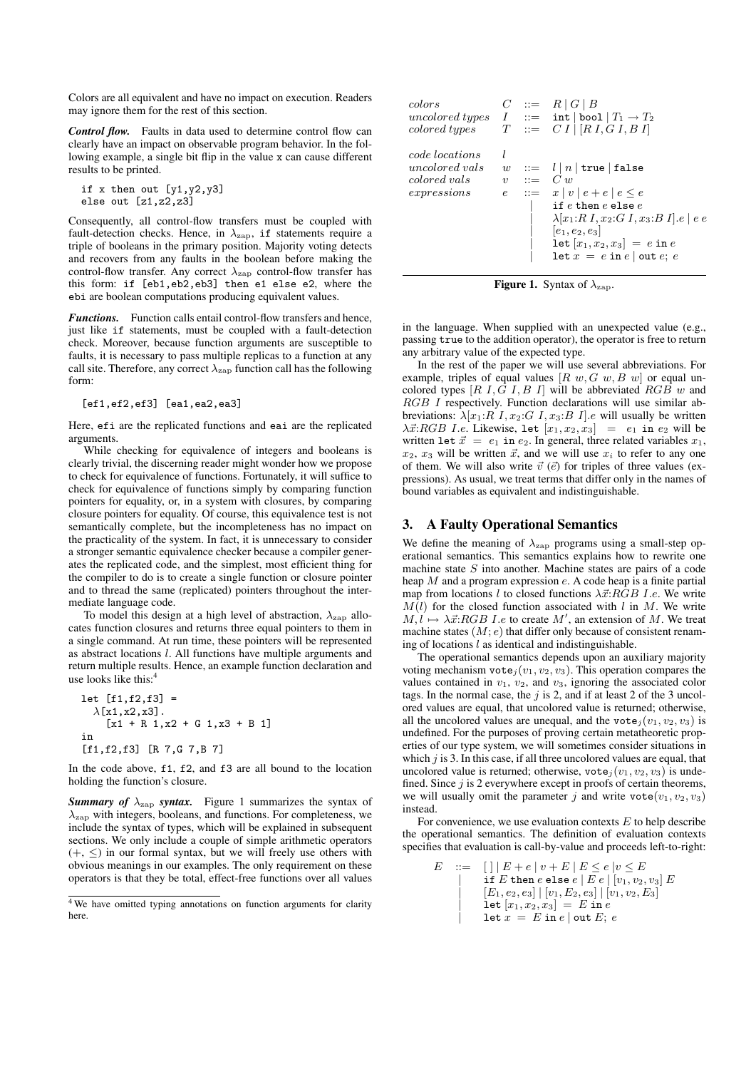Colors are all equivalent and have no impact on execution. Readers may ignore them for the rest of this section.

*Control flow.* Faults in data used to determine control flow can clearly have an impact on observable program behavior. In the following example, a single bit flip in the value x can cause different results to be printed.

if x then out  $[y1,y2,y3]$ else out [z1,z2,z3]

Consequently, all control-flow transfers must be coupled with fault-detection checks. Hence, in  $\lambda_{\text{zap}}$ , if statements require a triple of booleans in the primary position. Majority voting detects and recovers from any faults in the boolean before making the control-flow transfer. Any correct  $\lambda_{\text{zap}}$  control-flow transfer has this form: if [eb1,eb2,eb3] then e1 else e2, where the ebi are boolean computations producing equivalent values.

*Functions.* Function calls entail control-flow transfers and hence, just like if statements, must be coupled with a fault-detection check. Moreover, because function arguments are susceptible to faults, it is necessary to pass multiple replicas to a function at any call site. Therefore, any correct  $\lambda_{\text{zap}}$  function call has the following form:

[ef1,ef2,ef3] [ea1,ea2,ea3]

Here, efi are the replicated functions and eai are the replicated arguments.

While checking for equivalence of integers and booleans is clearly trivial, the discerning reader might wonder how we propose to check for equivalence of functions. Fortunately, it will suffice to check for equivalence of functions simply by comparing function pointers for equality, or, in a system with closures, by comparing closure pointers for equality. Of course, this equivalence test is not semantically complete, but the incompleteness has no impact on the practicality of the system. In fact, it is unnecessary to consider a stronger semantic equivalence checker because a compiler generates the replicated code, and the simplest, most efficient thing for the compiler to do is to create a single function or closure pointer and to thread the same (replicated) pointers throughout the intermediate language code.

To model this design at a high level of abstraction,  $\lambda_{\text{zap}}$  allocates function closures and returns three equal pointers to them in a single command. At run time, these pointers will be represented as abstract locations l. All functions have multiple arguments and return multiple results. Hence, an example function declaration and use looks like this:<sup>4</sup>

let 
$$
[f1, f2, f3] =
$$
  
\n $\lambda[x1, x2, x3].$   
\n $[x1 + R 1, x2 + G 1, x3 + B 1]$   
\nin  
\n $[f1, f2, f3] [R 7, G 7, B 7]$ 

In the code above, f1, f2, and f3 are all bound to the location holding the function's closure.

*Summary of*  $\lambda_{\text{zap}}$  *syntax.* Figure 1 summarizes the syntax of  $\lambda_{\text{zan}}$  with integers, booleans, and functions. For completeness, we include the syntax of types, which will be explained in subsequent sections. We only include a couple of simple arithmetic operators  $(+, \leq)$  in our formal syntax, but we will freely use others with obvious meanings in our examples. The only requirement on these operators is that they be total, effect-free functions over all values

| colors<br>$colored\ types$                                      |   |               | $C \quad ::= \quad R \mid G \mid B$<br>uncolored types $I$ ::= int   bool $T_1 \rightarrow T_2$<br>$T \ ::= \ C \ I \   \ [R \ I, G \ I, B \ I]$                                                                                                                |
|-----------------------------------------------------------------|---|---------------|-----------------------------------------------------------------------------------------------------------------------------------------------------------------------------------------------------------------------------------------------------------------|
| code locations<br>uncolored vals<br>colored vals<br>expressions | l | $v$ ::= $C w$ | $w ::= l   n   \text{true}   \text{false}$<br>$e$ := $x   v   e + e   e \le e$<br>if $e$ then $e$ else $e$<br>$\lambda  x_1:R I, x_2:G I, x_3: B I  e e$<br>$[e_1, e_2, e_3]$<br>$\det [x_1, x_2, x_3] = e \text{ in } e$<br>let $x = e$ in $e$   out $e$ ; $e$ |

**Figure 1.** Syntax of  $\lambda_{\text{zap}}$ .

in the language. When supplied with an unexpected value (e.g., passing true to the addition operator), the operator is free to return any arbitrary value of the expected type.

In the rest of the paper we will use several abbreviations. For example, triples of equal values  $[R \ w, G \ w, B \ w]$  or equal uncolored types  $[R I, G I, B I]$  will be abbreviated  $RGB w$  and RGB I respectively. Function declarations will use similar abbreviations:  $\lambda[x_1:R \, I, x_2:G \, I, x_3:B \, I].e$  will usually be written  $\lambda \vec{x}$ :RGB I.e. Likewise, let  $[x_1, x_2, x_3] = e_1$  in  $e_2$  will be written let  $\vec{x} = e_1$  in  $e_2$ . In general, three related variables  $x_1$ ,  $x_2, x_3$  will be written  $\vec{x}$ , and we will use  $x_i$  to refer to any one of them. We will also write  $\vec{v}$  ( $\vec{e}$ ) for triples of three values (expressions). As usual, we treat terms that differ only in the names of bound variables as equivalent and indistinguishable.

## 3. A Faulty Operational Semantics

We define the meaning of  $\lambda_{\text{zap}}$  programs using a small-step operational semantics. This semantics explains how to rewrite one machine state S into another. Machine states are pairs of a code heap  $M$  and a program expression  $e$ . A code heap is a finite partial map from locations l to closed functions  $\lambda \vec{x}$ : RGB I.e. We write  $M(l)$  for the closed function associated with l in M. We write  $M, \tilde{l} \mapsto \lambda \vec{x}$ : RGB I.e to create M', an extension of M. We treat machine states  $(M; e)$  that differ only because of consistent renaming of locations  $l$  as identical and indistinguishable.

The operational semantics depends upon an auxiliary majority voting mechanism vote<sub>j</sub> $(v_1, v_2, v_3)$ . This operation compares the values contained in  $v_1$ ,  $v_2$ , and  $v_3$ , ignoring the associated color tags. In the normal case, the  $j$  is 2, and if at least 2 of the 3 uncolored values are equal, that uncolored value is returned; otherwise, all the uncolored values are unequal, and the vote  $_i(v_1, v_2, v_3)$  is undefined. For the purposes of proving certain metatheoretic properties of our type system, we will sometimes consider situations in which  $j$  is 3. In this case, if all three uncolored values are equal, that uncolored value is returned; otherwise, vote,  $(v_1, v_2, v_3)$  is undefined. Since  $j$  is 2 everywhere except in proofs of certain theorems, we will usually omit the parameter j and write vote  $(v_1, v_2, v_3)$ instead.

For convenience, we use evaluation contexts  $E$  to help describe the operational semantics. The definition of evaluation contexts specifies that evaluation is call-by-value and proceeds left-to-right:

$$
E := [ \ | \ | \ E + e \ | \ v + E \ | \ E \leq e \ | \ v \leq E
$$
\n
$$
= \text{if } E \text{ then } e \text{ else } e \ | \ E \ e \ | \ [v_1, v_2, v_3] \ E
$$
\n
$$
= \text{if } [E_1, e_2, e_3] \ | \ [v_1, E_2, e_3] \ | \ [v_1, v_2, E_3]
$$
\n
$$
= \text{let } [x_1, x_2, x_3] = E \text{ in } e
$$
\n
$$
= \text{let } x = E \text{ in } e \ | \text{ out } E; e
$$

<sup>&</sup>lt;sup>4</sup> We have omitted typing annotations on function arguments for clarity here.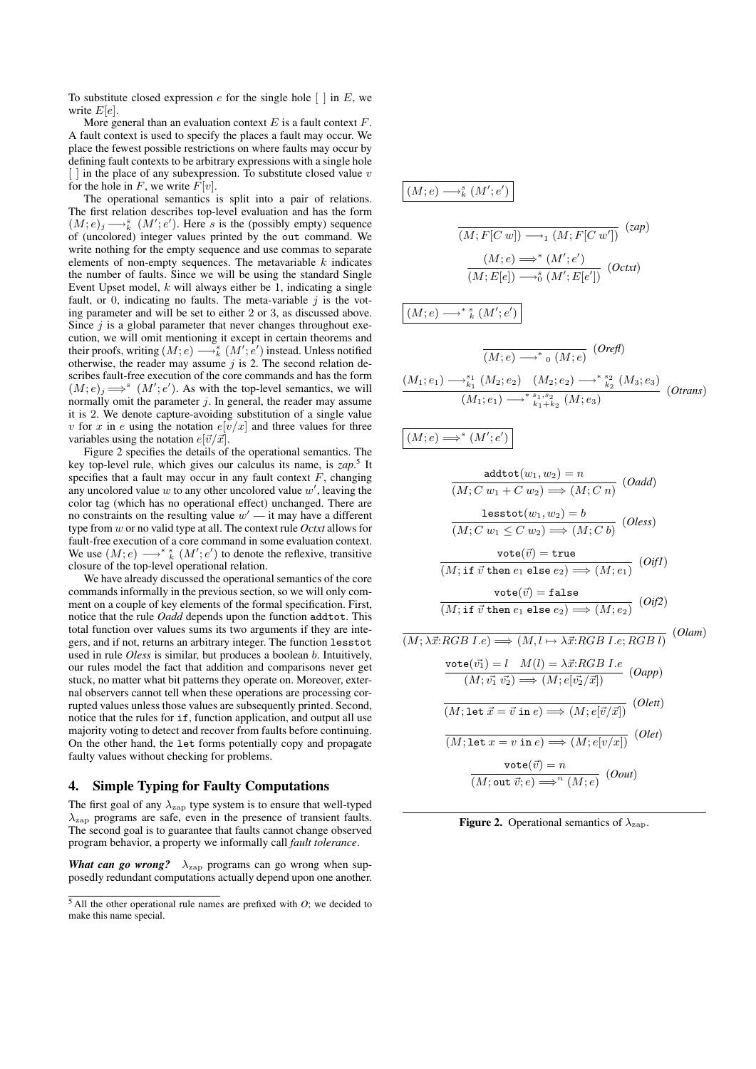To substitute closed expression  $e$  for the single hole  $[ \ ]$  in  $E$ , we write  $E[e]$ .

More general than an evaluation context  $E$  is a fault context  $F$ . A fault context is used to specify the places a fault may occur. We place the fewest possible restrictions on where faults may occur by defining fault contexts to be arbitrary expressions with a single hole  $\lceil \cdot \rceil$  in the place of any subexpression. To substitute closed value v for the hole in  $F$ , we write  $F[v]$ .

The operational semantics is split into a pair of relations. The first relation describes top-level evaluation and has the form  $(M; e)_j \longrightarrow_k^s (M'; e').$  Here s is the (possibly empty) sequence of (uncolored) integer values printed by the out command. We write nothing for the empty sequence and use commas to separate elements of non-empty sequences. The metavariable  $k$  indicates the number of faults. Since we will be using the standard Single Event Upset model,  $k$  will always either be 1, indicating a single fault, or 0, indicating no faults. The meta-variable  $j$  is the voting parameter and will be set to either 2 or 3, as discussed above. Since  $j$  is a global parameter that never changes throughout execution, we will omit mentioning it except in certain theorems and their proofs, writing  $(M; e) \longrightarrow_k^s (M'; e')$  instead. Unless notified otherwise, the reader may assume  $j$  is 2. The second relation describes fault-free execution of the core commands and has the form  $(M; e)_j \Longrightarrow^s (M'; e').$  As with the top-level semantics, we will normally omit the parameter  $j$ . In general, the reader may assume it is 2. We denote capture-avoiding substitution of a single value v for x in e using the notation  $e[v/x]$  and three values for three variables using the notation  $e[\vec{v}/\vec{x}]$ .

Figure 2 specifies the details of the operational semantics. The key top-level rule, which gives our calculus its name, is *zap*. 5 It specifies that a fault may occur in any fault context  $F$ , changing any uncolored value  $w$  to any other uncolored value  $w'$ , leaving the color tag (which has no operational effect) unchanged. There are no constraints on the resulting value  $w'$  — it may have a different type from w or no valid type at all. The context rule *Octxt* allows for fault-free execution of a core command in some evaluation context. We use  $(M; e) \longrightarrow^* {s \n\over k} (M'; e')$  to denote the reflexive, transitive closure of the top-level operational relation.

We have already discussed the operational semantics of the core commands informally in the previous section, so we will only comment on a couple of key elements of the formal specification. First, notice that the rule *Oadd* depends upon the function addtot. This total function over values sums its two arguments if they are integers, and if not, returns an arbitrary integer. The function lesstot used in rule *Oless* is similar, but produces a boolean b. Intuitively, our rules model the fact that addition and comparisons never get stuck, no matter what bit patterns they operate on. Moreover, external observers cannot tell when these operations are processing corrupted values unless those values are subsequently printed. Second, notice that the rules for if, function application, and output all use majority voting to detect and recover from faults before continuing. On the other hand, the let forms potentially copy and propagate faulty values without checking for problems.

## 4. Simple Typing for Faulty Computations

The first goal of any  $\lambda_{\text{zap}}$  type system is to ensure that well-typed  $\lambda_{\text{zap}}$  programs are safe, even in the presence of transient faults. The second goal is to guarantee that faults cannot change observed program behavior, a property we informally call *fault tolerance*.

*What can go wrong?*  $\lambda_{\text{zap}}$  programs can go wrong when supposedly redundant computations actually depend upon one another.

$$
(M; e) \longrightarrow_{k}^{s} (M'; e')
$$
\n
$$
\overline{(M; F[C w]) \longrightarrow_{1} (M; F[C w'])} (zap)
$$
\n
$$
(M; e) \Longrightarrow^{s} (M'; e')
$$
\n
$$
(M; E[e]) \longrightarrow_{0}^{s} (M'; E[e'])
$$
\n
$$
(M; e) \longrightarrow_{k}^{s} (M'; e')
$$
\n
$$
(M; e) \longrightarrow_{k}^{s} (M'; e')
$$
\n
$$
(M; e) \longrightarrow_{k}^{s} (M; e)
$$
\n
$$
(M; e) \longrightarrow_{k}^{s} (M; e) \longrightarrow_{k}^{s} (M; e)
$$
\n
$$
(M; e_1) \longrightarrow_{k_1 + k_2}^{s} (M; e_3)
$$
\n
$$
(M; e) \Longrightarrow^{s} (M'; e')
$$
\n
$$
(M; e) \Longrightarrow^{s} (M'; e')
$$

addtot(
$$
w_1, w_2
$$
) = n  
\n $(M; C w_1 + C w_2) \Rightarrow (M; C n)$  (Oadd)  
\n
$$
\frac{\text{lesstot}(w_1, w_2) = b}{(M; C w_1 \le C w_2) \Rightarrow (M; C b)}
$$
 (Oless)  
\n
$$
\frac{\text{vote}(\vec{v}) = \text{true}}{(M; \text{if } \vec{v} \text{ then } e_1 \text{ else } e_2) \Rightarrow (M; e_1)} \quad (Oif1)
$$
\n
$$
\frac{\text{vote}(\vec{v}) = \text{false}}{(M; \text{if } \vec{v} \text{ then } e_1 \text{ else } e_2) \Rightarrow (M; e_2)} \quad (Oif2)
$$
\n
$$
\frac{\text{vote}(\vec{v}) = \text{false}}{(M; \text{if } \vec{v} \text{ then } e_1 \text{ else } e_2) \Rightarrow (M; e_2)} \quad (Oim)
$$
\n
$$
\frac{\text{vote}(\vec{v_1}) = l \quad M(l) = \lambda \vec{x}. RGB \, I.e.} \quad (Oapp)
$$
\n
$$
\frac{\text{vote}(\vec{v_1}) = l \quad M(l) = \lambda \vec{x}. RGB \, I.e.} \quad (Oapp)
$$
\n
$$
\frac{\text{rate}(\vec{v_1}) = l \quad M(l) = \lambda \vec{x}. RGB \, I.e.} \quad (Oapp)
$$
\n
$$
\frac{\text{rate}(\vec{v_1}) = l \quad M(l) = \lambda \vec{x}.RGB \, I.e.} \quad (Oapp)
$$
\n
$$
\frac{\text{rate}(\vec{v_1}) = l \quad M(l) = \lambda \vec{x}.RGB \, I.e.} \quad (Oapp)
$$
\n
$$
\frac{\text{rate}(\vec{v_1}) = l \quad M(l) = \lambda \vec{x}.RGB \, I.e.} \quad (Oapp)
$$
\n
$$
\frac{\text{rate}(\vec{v_1}) = l \quad M(l) = \lambda \vec{x}.RGB \, I.e.} \quad (Oapp)
$$
\n
$$
\frac{\text{rate}(\vec{v_1}) = l \quad M(l) = \lambda \vec{x}.RGB \, I.e.} \quad (Oapp)
$$
\n
$$
\frac{\text{rate}(\vec{v_1}) = l \quad M(l) = \lambda \vec{x}.RGB \, I.e.} \quad (Oapp)
$$
\n $$ 

## **Figure 2.** Operational semantics of  $\lambda_{\text{zap}}$ .

(*Oout*)

 $(M; \text{out } \vec{v}; e) \Longrightarrow^n (M; e)$ 

 $\frac{5 \text{ All the other operational rule names are prefixed with *O*; we decided to$ make this name special.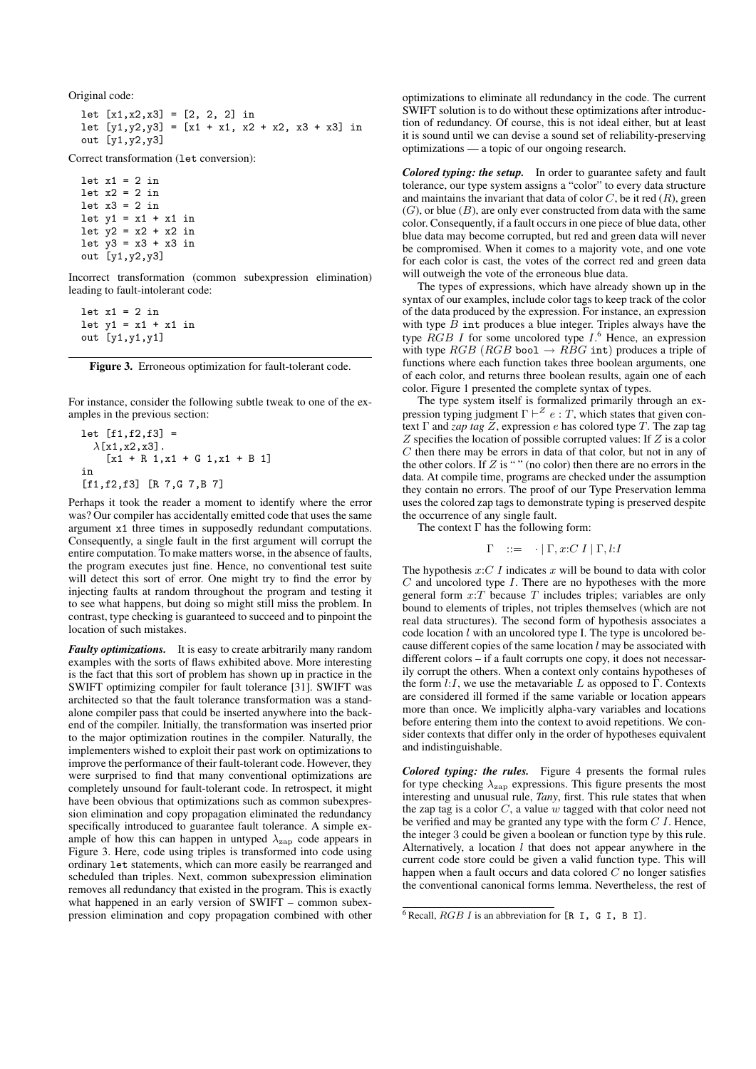Original code:

let [x1,x2,x3] = [2, 2, 2] in let  $[y1, y2, y3] = [x1 + x1, x2 + x2, x3 + x3]$  in out [y1,y2,y3]

Correct transformation (let conversion):

let  $x1 = 2$  in let  $x2 = 2$  in let  $x3 = 2$  in let  $y1 = x1 + x1$  in let  $y2 = x2 + x2$  in let y3 = x3 + x3 in out [y1,y2,y3]

Incorrect transformation (common subexpression elimination) leading to fault-intolerant code:

```
let x1 = 2 in
let y1 = x1 + x1 in
out [y1,y1,y1]
```
Figure 3. Erroneous optimization for fault-tolerant code.

For instance, consider the following subtle tweak to one of the examples in the previous section:

```
let [f1,f2,f3] =\lambda[x1,x2,x3].
    [x1 + R 1, x1 + G 1, x1 + B 1]in
[f1,f2,f3] [R 7, G 7, B 7]
```
Perhaps it took the reader a moment to identify where the error was? Our compiler has accidentally emitted code that uses the same argument x1 three times in supposedly redundant computations. Consequently, a single fault in the first argument will corrupt the entire computation. To make matters worse, in the absence of faults, the program executes just fine. Hence, no conventional test suite will detect this sort of error. One might try to find the error by injecting faults at random throughout the program and testing it to see what happens, but doing so might still miss the problem. In contrast, type checking is guaranteed to succeed and to pinpoint the location of such mistakes.

*Faulty optimizations.* It is easy to create arbitrarily many random examples with the sorts of flaws exhibited above. More interesting is the fact that this sort of problem has shown up in practice in the SWIFT optimizing compiler for fault tolerance [31]. SWIFT was architected so that the fault tolerance transformation was a standalone compiler pass that could be inserted anywhere into the backend of the compiler. Initially, the transformation was inserted prior to the major optimization routines in the compiler. Naturally, the implementers wished to exploit their past work on optimizations to improve the performance of their fault-tolerant code. However, they were surprised to find that many conventional optimizations are completely unsound for fault-tolerant code. In retrospect, it might have been obvious that optimizations such as common subexpression elimination and copy propagation eliminated the redundancy specifically introduced to guarantee fault tolerance. A simple example of how this can happen in untyped  $\lambda_{\text{zap}}$  code appears in Figure 3. Here, code using triples is transformed into code using ordinary let statements, which can more easily be rearranged and scheduled than triples. Next, common subexpression elimination removes all redundancy that existed in the program. This is exactly what happened in an early version of SWIFT – common subexpression elimination and copy propagation combined with other optimizations to eliminate all redundancy in the code. The current SWIFT solution is to do without these optimizations after introduction of redundancy. Of course, this is not ideal either, but at least it is sound until we can devise a sound set of reliability-preserving optimizations — a topic of our ongoing research.

*Colored typing: the setup.* In order to guarantee safety and fault tolerance, our type system assigns a "color" to every data structure and maintains the invariant that data of color  $C$ , be it red  $(R)$ , green  $(G)$ , or blue  $(B)$ , are only ever constructed from data with the same color. Consequently, if a fault occurs in one piece of blue data, other blue data may become corrupted, but red and green data will never be compromised. When it comes to a majority vote, and one vote for each color is cast, the votes of the correct red and green data will outweigh the vote of the erroneous blue data.

The types of expressions, which have already shown up in the syntax of our examples, include color tags to keep track of the color of the data produced by the expression. For instance, an expression with type  $\overline{B}$  int produces a blue integer. Triples always have the type  $RGB$  I for some uncolored type  $I<sup>6</sup>$  Hence, an expression with type RGB (RGB bool  $\rightarrow$  RBG int) produces a triple of functions where each function takes three boolean arguments, one of each color, and returns three boolean results, again one of each color. Figure 1 presented the complete syntax of types.

The type system itself is formalized primarily through an expression typing judgment  $\Gamma \vdash^Z e : T$ , which states that given context Γ and *zap tag* Z, expression e has colored type T. The zap tag  $Z$  specifies the location of possible corrupted values: If  $Z$  is a color  $C$  then there may be errors in data of that color, but not in any of the other colors. If  $Z$  is "" (no color) then there are no errors in the data. At compile time, programs are checked under the assumption they contain no errors. The proof of our Type Preservation lemma uses the colored zap tags to demonstrate typing is preserved despite the occurrence of any single fault.

The context  $\Gamma$  has the following form:

$$
\Gamma \quad ::= \quad \cdot | \Gamma, x:C \ I \ | \ \Gamma, l:I
$$

The hypothesis  $x:C I$  indicates x will be bound to data with color  $C$  and uncolored type  $I$ . There are no hypotheses with the more general form  $x:T$  because T includes triples; variables are only bound to elements of triples, not triples themselves (which are not real data structures). The second form of hypothesis associates a code location  $l$  with an uncolored type I. The type is uncolored because different copies of the same location  $l$  may be associated with different colors – if a fault corrupts one copy, it does not necessarily corrupt the others. When a context only contains hypotheses of the form  $l:I$ , we use the metavariable L as opposed to  $\Gamma$ . Contexts are considered ill formed if the same variable or location appears more than once. We implicitly alpha-vary variables and locations before entering them into the context to avoid repetitions. We consider contexts that differ only in the order of hypotheses equivalent and indistinguishable.

*Colored typing: the rules.* Figure 4 presents the formal rules for type checking  $\lambda_{\text{zap}}$  expressions. This figure presents the most interesting and unusual rule, *Tany*, first. This rule states that when the zap tag is a color  $C$ , a value  $w$  tagged with that color need not be verified and may be granted any type with the form  $C I$ . Hence, the integer 3 could be given a boolean or function type by this rule. Alternatively, a location  $l$  that does not appear anywhere in the current code store could be given a valid function type. This will happen when a fault occurs and data colored  $C$  no longer satisfies the conventional canonical forms lemma. Nevertheless, the rest of

 $6$  Recall,  $RGB I$  is an abbreviation for [R I, G I, B I].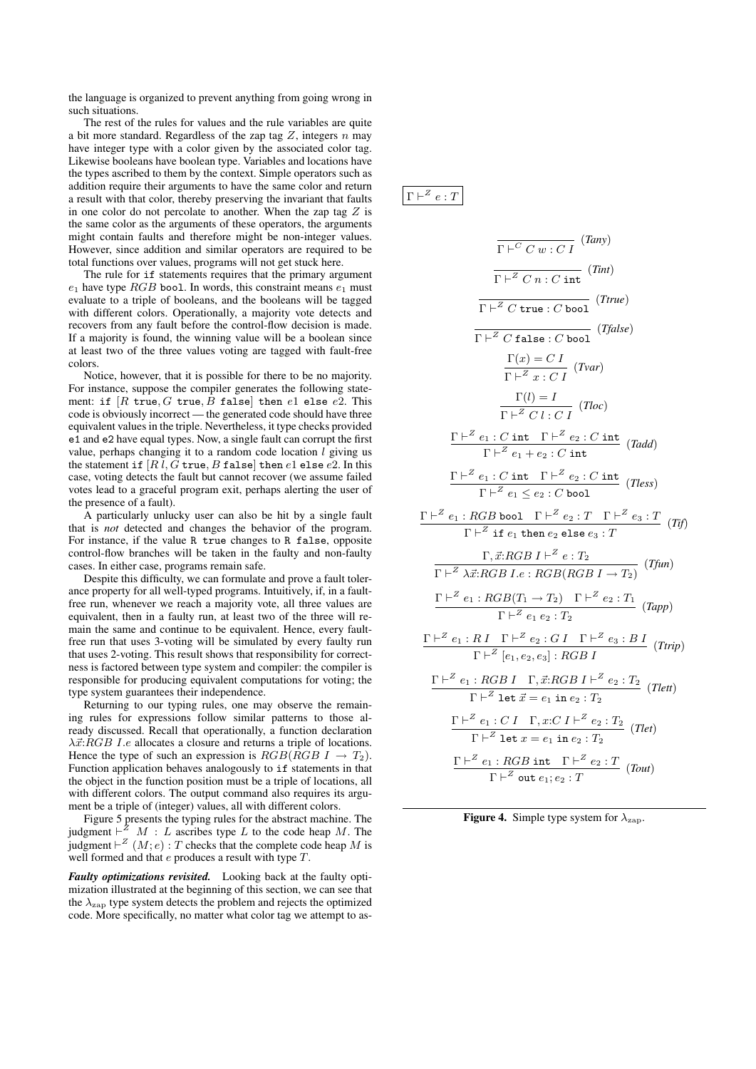the language is organized to prevent anything from going wrong in such situations.

The rest of the rules for values and the rule variables are quite a bit more standard. Regardless of the zap tag  $Z$ , integers  $n$  may have integer type with a color given by the associated color tag. Likewise booleans have boolean type. Variables and locations have the types ascribed to them by the context. Simple operators such as addition require their arguments to have the same color and return a result with that color, thereby preserving the invariant that faults in one color do not percolate to another. When the zap tag  $Z$  is the same color as the arguments of these operators, the arguments might contain faults and therefore might be non-integer values. However, since addition and similar operators are required to be total functions over values, programs will not get stuck here.

The rule for if statements requires that the primary argument  $e_1$  have type  $RGB$  bool. In words, this constraint means  $e_1$  must evaluate to a triple of booleans, and the booleans will be tagged with different colors. Operationally, a majority vote detects and recovers from any fault before the control-flow decision is made. If a majority is found, the winning value will be a boolean since at least two of the three values voting are tagged with fault-free colors.

Notice, however, that it is possible for there to be no majority. For instance, suppose the compiler generates the following statement: if  $[R \text{ true}, G \text{ true}, B \text{ false}]$  then  $e1$  else  $e2$ . This code is obviously incorrect — the generated code should have three equivalent values in the triple. Nevertheless, it type checks provided e1 and e2 have equal types. Now, a single fault can corrupt the first value, perhaps changing it to a random code location  $l$  giving us the statement if  $[R \, l, G \, \text{true}, B \, \text{false}]$  then  $e1$  else  $e2$ . In this case, voting detects the fault but cannot recover (we assume failed votes lead to a graceful program exit, perhaps alerting the user of the presence of a fault).

A particularly unlucky user can also be hit by a single fault that is *not* detected and changes the behavior of the program. For instance, if the value R true changes to R false, opposite control-flow branches will be taken in the faulty and non-faulty cases. In either case, programs remain safe.

Despite this difficulty, we can formulate and prove a fault tolerance property for all well-typed programs. Intuitively, if, in a faultfree run, whenever we reach a majority vote, all three values are equivalent, then in a faulty run, at least two of the three will remain the same and continue to be equivalent. Hence, every faultfree run that uses 3-voting will be simulated by every faulty run that uses 2-voting. This result shows that responsibility for correctness is factored between type system and compiler: the compiler is responsible for producing equivalent computations for voting; the type system guarantees their independence.

Returning to our typing rules, one may observe the remaining rules for expressions follow similar patterns to those already discussed. Recall that operationally, a function declaration  $\lambda \vec{x}$ : RGB I.e allocates a closure and returns a triple of locations. Hence the type of such an expression is  $RGB(RGB I \rightarrow T_2)$ . Function application behaves analogously to if statements in that the object in the function position must be a triple of locations, all with different colors. The output command also requires its argument be a triple of (integer) values, all with different colors.

Figure 5 presents the typing rules for the abstract machine. The judgment  $\vdash^{\mathbb{Z}} M : L$  ascribes type L to the code heap M. The judgment  $\vdash^{\mathcal{Z}} (M; e) : T$  checks that the complete code heap M is well formed and that e produces a result with type T.

*Faulty optimizations revisited.* Looking back at the faulty optimization illustrated at the beginning of this section, we can see that the  $\lambda_{\text{zap}}$  type system detects the problem and rejects the optimized code. More specifically, no matter what color tag we attempt to as-

## $\Gamma\vdash^Z e : T$

$$
\frac{\Gamma \vdash^{C} C w : C I \quad (Tany)}{\Gamma \vdash^{2} C n : C \text{ int}} \quad (Tint)
$$
\n
$$
\frac{\Gamma^{-2} C \text{ true : } C \text{ bool}}{\Gamma \vdash^{2} C \text{ true : } C \text{ bool}} \quad (Tfalse)
$$
\n
$$
\frac{\Gamma(x) = C I}{\Gamma \vdash^{2} x : C I} \quad (Tvar)
$$
\n
$$
\frac{\Gamma(l) = I}{\Gamma \vdash^{2} C I : C I} \quad (Tloc)
$$
\n
$$
\frac{\Gamma^{-2} C I}{\Gamma^{-2} C I : C I} \quad (Tabc)
$$
\n
$$
\frac{\Gamma^{-2} e_1 : C \text{ int } \Gamma \vdash^{2} e_2 : C \text{ int}}{\Gamma^{-2} e_1 + e_2 : C \text{ int}} \quad (Tadd)
$$
\n
$$
\frac{\Gamma \vdash^{2} e_1 : C \text{ int } \Gamma \vdash^{2} e_2 : C \text{ int}}{\Gamma^{-2} e_1 \le e_2 : C \text{ bool}} \quad (Tless)
$$
\n
$$
\frac{\Gamma \vdash^{2} e_1 : RGB \text{ bool } \Gamma \vdash^{2} e_2 : T \Gamma \vdash^{2} e_3 : T}{\Gamma \vdash^{2} \text{ if } e_1 \text{ then } e_2 \text{ else } e_3 : T} \quad (Tif)
$$
\n
$$
\frac{\Gamma \vdash^{2} e_1 : RGB I \vdash^{2} e : T_2}{\Gamma \vdash^{2} \text{ at } RGB I \cdot RGB (RGB I \rightarrow T_2)} \quad (Tfun)
$$
\n
$$
\frac{\Gamma \vdash^{2} e_1 : RGB (T_1 \rightarrow T_2) \Gamma \vdash^{2} e_2 : T_1}{\Gamma \vdash^{2} e_1 : e_2 : e_2 : T_2} \quad (Tapp)
$$
\n
$$
\frac{\Gamma \vdash^{2} e_1 : R I \Gamma \vdash^{2} e_2 : G I \Gamma \vdash^{2} e_2 : B I}{\Gamma \vdash^{2} \text{ let } x = e_1 \text{ in } e_2 : T_2} \quad (Tlet)
$$
\n
$$
\frac{\Gamma \vdash^{2} e_1 : RGB I \Gamma, \vec{x} : RGB I \vdash^{2} e_2 : T_2}{\Gamma \vdash^{2} \text{ let } x = e_1 \text{ in }
$$

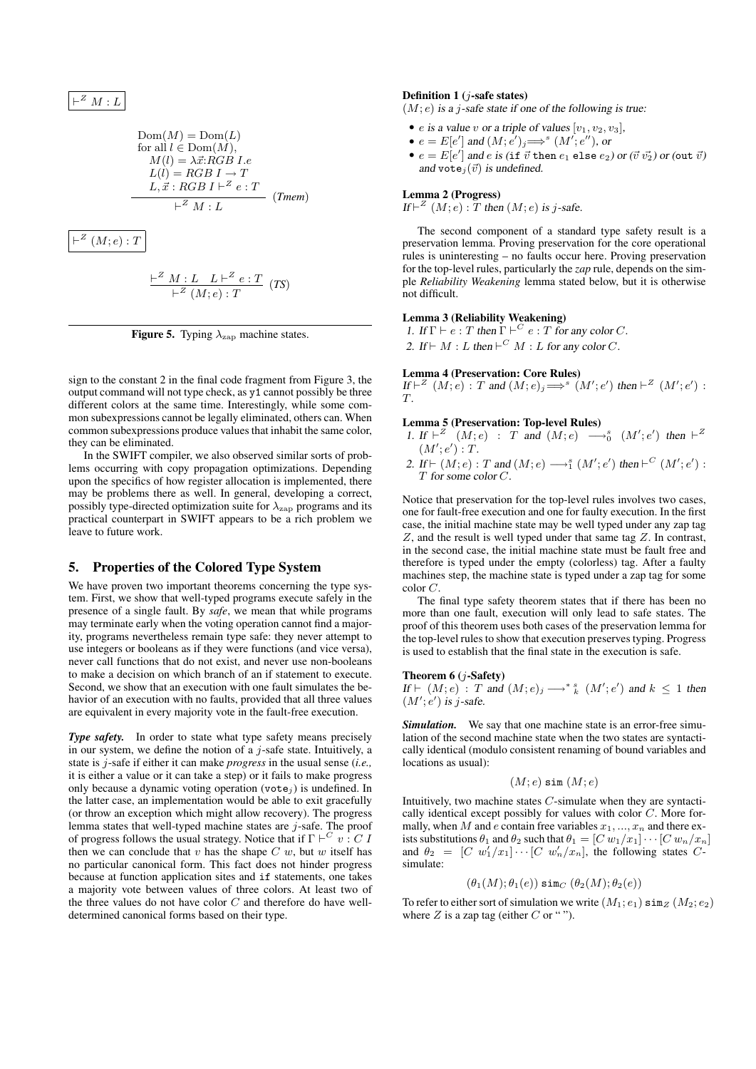$$
\vdash^Z M:L
$$

$$
Dom(M) = Dom(L)
$$
  
for all  $l \in Dom(M)$ ,  

$$
M(l) = \lambda \vec{x} : RGB \ L.e
$$
  

$$
L(l) = RGB \ I \rightarrow T
$$
  

$$
L, \vec{x} : RGB \ I \vdash^{Z} e : T
$$
  

$$
\vdash^{Z} M : L
$$
  

$$
T
$$
  

$$
T
$$
  

$$
T
$$
  

$$
T
$$
  

$$
T
$$
  

$$
T
$$
  

$$
T
$$
  

$$
T
$$
  

$$
T
$$
  

$$
T
$$
  

$$
T
$$
  

$$
T
$$
  

$$
T
$$
  

$$
T
$$
  

$$
T
$$
  

$$
T
$$
  

$$
T
$$
  

$$
T
$$
  

$$
T
$$
  

$$
T
$$
  

$$
T
$$
  

$$
T
$$
  

$$
T
$$
  

$$
T
$$
  

$$
T
$$
  

$$
T
$$
  

$$
T
$$
  

$$
T
$$
  

$$
T
$$
  

$$
T
$$
  

$$
T
$$
  

$$
T
$$
  

$$
T
$$
  

$$
T
$$
  

$$
T
$$
  

$$
T
$$
  

$$
T
$$
  

$$
T
$$
  

$$
T
$$
  

$$
T
$$
  

$$
T
$$
  

$$
T
$$
  

$$
T
$$
  

$$
T
$$
  

$$
T
$$
  

$$
T
$$
  

$$
T
$$
  

$$
T
$$
  

$$
T
$$
  

$$
T
$$
  

$$
T
$$
  

$$
T
$$
  

$$
T
$$
  

$$
T
$$
  

$$
T
$$
  

$$
T
$$
  

$$
T
$$
  

$$
T
$$
  
 $$ 

$$
\frac{\vdash^Z M : L \quad L \vdash^Z e : T}{\vdash^Z (M; e) : T} (TS)
$$

**Figure 5.** Typing  $\lambda_{\text{zap}}$  machine states.

sign to the constant 2 in the final code fragment from Figure 3, the output command will not type check, as y1 cannot possibly be three different colors at the same time. Interestingly, while some common subexpressions cannot be legally eliminated, others can. When common subexpressions produce values that inhabit the same color, they can be eliminated.

In the SWIFT compiler, we also observed similar sorts of problems occurring with copy propagation optimizations. Depending upon the specifics of how register allocation is implemented, there may be problems there as well. In general, developing a correct, possibly type-directed optimization suite for  $\lambda_{\rm{zap}}$  programs and its practical counterpart in SWIFT appears to be a rich problem we leave to future work.

## 5. Properties of the Colored Type System

We have proven two important theorems concerning the type system. First, we show that well-typed programs execute safely in the presence of a single fault. By *safe*, we mean that while programs may terminate early when the voting operation cannot find a majority, programs nevertheless remain type safe: they never attempt to use integers or booleans as if they were functions (and vice versa), never call functions that do not exist, and never use non-booleans to make a decision on which branch of an if statement to execute. Second, we show that an execution with one fault simulates the behavior of an execution with no faults, provided that all three values are equivalent in every majority vote in the fault-free execution.

**Type safety.** In order to state what type safety means precisely in our system, we define the notion of a  $j$ -safe state. Intuitively, a state is j-safe if either it can make *progress* in the usual sense (*i.e.,* it is either a value or it can take a step) or it fails to make progress only because a dynamic voting operation (vote<sub>j</sub>) is undefined. In the latter case, an implementation would be able to exit gracefully (or throw an exception which might allow recovery). The progress lemma states that well-typed machine states are j-safe. The proof of progress follows the usual strategy. Notice that if  $\Gamma \vdash^C v : C I$ then we can conclude that v has the shape  $C w$ , but w itself has no particular canonical form. This fact does not hinder progress because at function application sites and if statements, one takes a majority vote between values of three colors. At least two of the three values do not have color C and therefore do have welldetermined canonical forms based on their type.

#### Definition 1 (*j*-safe states)

 $(M; e)$  is a j-safe state if one of the following is true:

- e is a value v or a triple of values  $[v_1, v_2, v_3]$ ,
- $e = E[e']$  and  $(M; e')_j \Longrightarrow^s (M'; e'')$ , or
- $\bullet$   $e = E[e']$  and  $e$  is (if  $\vec{v}$  then  $e_1$  else  $e_2$ ) or  $(\vec{v} \ \vec{v_2})$  or (out  $\vec{v}$ ) and vote<sub>j</sub> $(\vec{v})$  is undefined.

#### Lemma 2 (Progress)

If  $\vdash^{\mathbb{Z}} (M; e)$ : T then  $(M; e)$  is j-safe.

The second component of a standard type safety result is a preservation lemma. Proving preservation for the core operational rules is uninteresting – no faults occur here. Proving preservation for the top-level rules, particularly the *zap* rule, depends on the simple *Reliability Weakening* lemma stated below, but it is otherwise not difficult.

## Lemma 3 (Reliability Weakening)

- 1. If  $\Gamma \vdash e : T$  then  $\Gamma \vdash^C e : T$  for any color C.
- 2. If  $\vdash M : L$  then  $\vdash^C M : L$  for any color C.

## Lemma 4 (Preservation: Core Rules)

If  $\vdash^{\mathbb{Z}} (M; e) : T$  and  $(M; e)_j \Longrightarrow^s (M'; e')$  then  $\vdash^{\mathbb{Z}} (M'; e') : T$  $T_{\cdot}$ 

## Lemma 5 (Preservation: Top-level Rules)

1. If  $\vdash^{\mathbb{Z}} (M; e)$  : T and  $(M; e) \longrightarrow_0^s (M'; e')$  then  $\vdash^{\mathbb{Z}}$  $(M'; e') : T.$ 2. If  $\vdash (M; e) : T$  and  $(M; e) \longrightarrow_1^s (M'; e')$  then  $\vdash^C (M'; e') : T$ T for some color C.

Notice that preservation for the top-level rules involves two cases, one for fault-free execution and one for faulty execution. In the first case, the initial machine state may be well typed under any zap tag  $Z$ , and the result is well typed under that same tag  $Z$ . In contrast, in the second case, the initial machine state must be fault free and therefore is typed under the empty (colorless) tag. After a faulty machines step, the machine state is typed under a zap tag for some color C.

The final type safety theorem states that if there has been no more than one fault, execution will only lead to safe states. The proof of this theorem uses both cases of the preservation lemma for the top-level rules to show that execution preserves typing. Progress is used to establish that the final state in the execution is safe.

#### Theorem 6 (j-Safety)

If  $\vdash$   $(M; e)$ : T and  $(M; e)_j \longrightarrow^* {s \atop k} (M'; e')$  and  $k \leq 1$  then  $(M'; e')$  is j-safe.

*Simulation.* We say that one machine state is an error-free simulation of the second machine state when the two states are syntactically identical (modulo consistent renaming of bound variables and locations as usual):

$$
(M;e)\,\sin\,(M;e)
$$

Intuitively, two machine states  $C$ -simulate when they are syntactically identical except possibly for values with color  $C$ . More formally, when M and e contain free variables  $x_1, ..., x_n$  and there exists substitutions  $\theta_1$  and  $\theta_2$  such that  $\theta_1 = [C w_1/x_1] \cdots [C w_n/x_n]$ and  $\theta_2 = [C \ w'_1/x_1] \cdots [C \ w'_n/x_n]$ , the following states Csimulate:

$$
(\theta_1(M);\theta_1(e)) \mathbin{\mathtt{sim}}_C (\theta_2(M);\theta_2(e))
$$

To refer to either sort of simulation we write  $(M_1; e_1)$   $\mathtt{sim}_Z$   $(M_2; e_2)$ where  $Z$  is a zap tag (either  $C$  or "").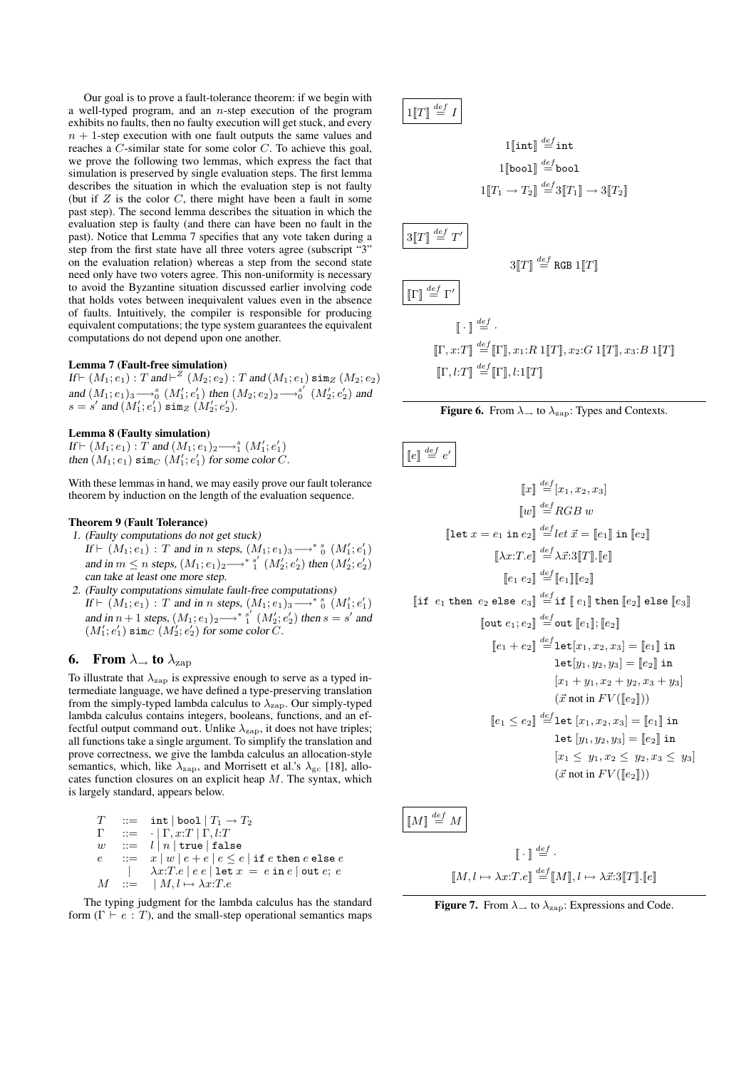Our goal is to prove a fault-tolerance theorem: if we begin with a well-typed program, and an *n*-step execution of the program exhibits no faults, then no faulty execution will get stuck, and every  $n + 1$ -step execution with one fault outputs the same values and reaches a C-similar state for some color C. To achieve this goal, we prove the following two lemmas, which express the fact that simulation is preserved by single evaluation steps. The first lemma describes the situation in which the evaluation step is not faulty (but if  $Z$  is the color  $C$ , there might have been a fault in some past step). The second lemma describes the situation in which the evaluation step is faulty (and there can have been no fault in the past). Notice that Lemma 7 specifies that any vote taken during a step from the first state have all three voters agree (subscript "3" on the evaluation relation) whereas a step from the second state need only have two voters agree. This non-uniformity is necessary to avoid the Byzantine situation discussed earlier involving code that holds votes between inequivalent values even in the absence of faults. Intuitively, the compiler is responsible for producing equivalent computations; the type system guarantees the equivalent computations do not depend upon one another.

## Lemma 7 (Fault-free simulation)

If  $\vdash (M_1;e_1):T$  and  $\vdash^Z (M_2;e_2):T$  and  $(M_1;e_1)$   $\mathtt{sim}_Z (M_2;e_2)$ and  $(M_1; e_1)_3 \longrightarrow_0^s (M'_1; e'_1)$  then  $(M_2; e_2)_2 \longrightarrow_0^{s'} (M'_2; e'_2)$  and  $s = s'$  and  $(M_1'; e_1')$   $\mathtt{sim}_Z$   $(M_2'; e_2').$ 

## Lemma 8 (Faulty simulation)

*If*  $\vdash$  (*M*<sub>1</sub>; *e*<sub>1</sub>) : *T* and (*M*<sub>1</sub>; *e*<sub>1</sub>)<sub>2</sub> → <sup>*s*</sup><sub>1</sub></sub> (*M*<sub>1</sub>′; *e*<sub>1</sub>)<sup></sup> then  $(M_1; e_1)$  sim<sub>C</sub>  $(M'_1; e'_1)$  for some color C.

With these lemmas in hand, we may easily prove our fault tolerance theorem by induction on the length of the evaluation sequence.

## Theorem 9 (Fault Tolerance)

- 1. (Faulty computations do not get stuck) If  $\vdash$   $(M_1; e_1)$ : T and in n steps,  $(M_1; e_1)_3 \rightarrow^*_{0}^s (M_1'; e_1')$ and in  $m \le n$  steps,  $(M_1; e_1)_2 \longrightarrow^* {s' \choose 1}$   $(M'_2; e'_2)$  then  $(M'_2; e'_2)$ can take at least one more step.
- 2. (Faulty computations simulate fault-free computations) If  $\vdash$   $(M_1; e_1)$ : T and in n steps,  $(M_1; e_1)_3 \rightarrow^*_{0} (M_1'; e_1')$ and in  $n + 1$  steps,  $(M_1; e_1)_2 \longrightarrow^* \frac{s'}{1}$   $(M'_2; e'_2)$  then  $s = s'$  and  $(M'_1; e'_1)$  sim<sub>C</sub>  $(M'_2; e'_2)$  for some color C.

## 6. From  $\lambda_{\rightarrow}$  to  $\lambda_{\text{zap}}$

To illustrate that  $\lambda_{\text{zap}}$  is expressive enough to serve as a typed intermediate language, we have defined a type-preserving translation from the simply-typed lambda calculus to  $\lambda_{\text{zap}}$ . Our simply-typed lambda calculus contains integers, booleans, functions, and an effectful output command out. Unlike  $\lambda_{\text{zap}}$ , it does not have triples; all functions take a single argument. To simplify the translation and prove correctness, we give the lambda calculus an allocation-style semantics, which, like  $\lambda_{\text{zap}}$ , and Morrisett et al.'s  $\lambda_{\text{gc}}$  [18], allocates function closures on an explicit heap  $M$ . The syntax, which is largely standard, appears below.

$$
T ::= \text{ int} |\text{bool} | T_1 \rightarrow T_2
$$
  
\n
$$
\Gamma ::= |\Gamma, x:T | \Gamma, l:T
$$
  
\n
$$
w ::= l | n | \text{ true} | \text{ false}
$$
  
\n
$$
e ::= x | w | e + e | e \le e | \text{ if } e \text{ then } e \text{ else } e
$$
  
\n
$$
M ::= | M, l \mapsto \lambda x:T.e
$$

The typing judgment for the lambda calculus has the standard form  $(\Gamma \vdash e : T)$ , and the small-step operational semantics maps  $1\llbracket T \rrbracket \stackrel{def}{=} I$ 

$$
\begin{aligned}1[\hspace{-1.5pt}[ \text{int}]\hspace{-1.5pt} &\stackrel{def}{=}\hspace{-1.5pt}\text{int}\\1[\hspace{-1.5pt}[ \text{bool}]\hspace{-1.5pt} &\stackrel{def}{=}\hspace{-1.5pt}\text{bool}\\1[\hspace{-1.5pt}[ T_1\rightarrow T_2]\hspace{-1.5pt} &\stackrel{def}{=}\hspace{-1.5pt}3[\hspace{-1.5pt}[ T_1]\hspace{-1.5pt}]\rightarrow 3[\hspace{-1.5pt}[ T_2]\hspace{-1.5pt}] \end{aligned}
$$

 $3$  $T$ ]  $\stackrel{def}{=} 7$  $\prime$ 

$$
3[\![T]\!] \stackrel{def}{=} \mathtt{RGB} \ 1
$$

 $\llbracket T \rrbracket$ 

 $\stackrel{def}{=} \Gamma$ 

$$
\begin{aligned}\n\llbracket \cdot \rrbracket & \stackrel{\text{def}}{=} \cdot \\
\llbracket \Gamma, x : T \rrbracket & \stackrel{\text{def}}{=} \llbracket \Gamma \rrbracket, x_1 : R \, 1 \llbracket T \rrbracket, x_2 : G \, 1 \llbracket T \rrbracket, x_3 : B \, 1 \llbracket T \rrbracket \\
\llbracket \Gamma, t : T \rrbracket & \stackrel{\text{def}}{=} \llbracket \Gamma \rrbracket, t : 1 \llbracket T \rrbracket\n\end{aligned}
$$

**Figure 6.** From  $\lambda \rightarrow$  to  $\lambda_{\text{zap}}$ : Types and Contexts.

 $\llbracket e \rrbracket \stackrel{def}{=} e'$ 

$$
\llbracket x \rrbracket \stackrel{\text{def}}{=} [x_1, x_2, x_3]
$$
\n
$$
\llbracket w \rrbracket \stackrel{\text{def}}{=} RGB \ w
$$
\n
$$
\llbracket \text{let } x = e_1 \text{ in } e_2 \rrbracket \stackrel{\text{def}}{=} let \ \vec{x} = \llbracket e_1 \rrbracket \text{ in } \llbracket e_2 \rrbracket
$$
\n
$$
\llbracket \lambda x : T.e \rrbracket \stackrel{\text{def}}{=} \lambda \vec{x} : 3 \llbracket T \rrbracket . \llbracket e \rrbracket
$$
\n
$$
\llbracket e_1 e_2 \rrbracket \stackrel{\text{def}}{=} \llbracket e_1 \rrbracket \llbracket e_2 \rrbracket
$$
\n
$$
\llbracket \text{if } e_1 \text{ then } e_2 \text{ else } e_3 \rrbracket \stackrel{\text{def}}{=} \text{if } \llbracket e_1 \rrbracket \text{ then } \llbracket e_2 \rrbracket \text{ else } \llbracket e_3 \rrbracket
$$
\n
$$
\llbracket e_1 + e_2 \rrbracket \stackrel{\text{def}}{=} \text{let } [x_1, x_2, x_3] = \llbracket e_1 \rrbracket \text{ in } \llbracket e_2 \rrbracket \text{ in } \llbracket x_1 + y_1, x_2 + y_2, x_3 + y_3 \rrbracket
$$
\n
$$
\llbracket x_1 + y_1, x_2 + y_2, x_3 + y_3 \rrbracket
$$
\n
$$
\llbracket x_1 \in [x_1, x_2, x_3] = \llbracket e_1 \rrbracket \text{ in } \llbracket e_1 \le e_2 \rrbracket \stackrel{\text{def}}{=} \text{let } [x_1, x_2, x_3] = \llbracket e_1 \rrbracket \text{ in } \llbracket x_1 \le y_1, x_2 \le y_2, x_3 \le y_3 \rrbracket
$$
\n
$$
\llbracket x_1 \le y_1, x_2 \le y_2, x_3 \le y_3 \rrbracket
$$
\n
$$
\llbracket x_1 \llbracket x_1 \llbracket x_2 \rrbracket
$$

 $\llbracket M \rrbracket \stackrel{def}{=} M$ 

$$
\begin{aligned} [\![\cdot]\!] \stackrel{def}{=} \cdot \\ [\![M,l\mapsto \lambda x{:}T.e]\!] \stackrel{def}{=} [\![M]\!],l\mapsto \lambda \vec{x}{:}3[\![T]\!].[\![e]\!] \end{aligned}
$$

Figure 7. From  $\lambda \rightarrow$  to  $\lambda$ <sub>zap</sub>: Expressions and Code.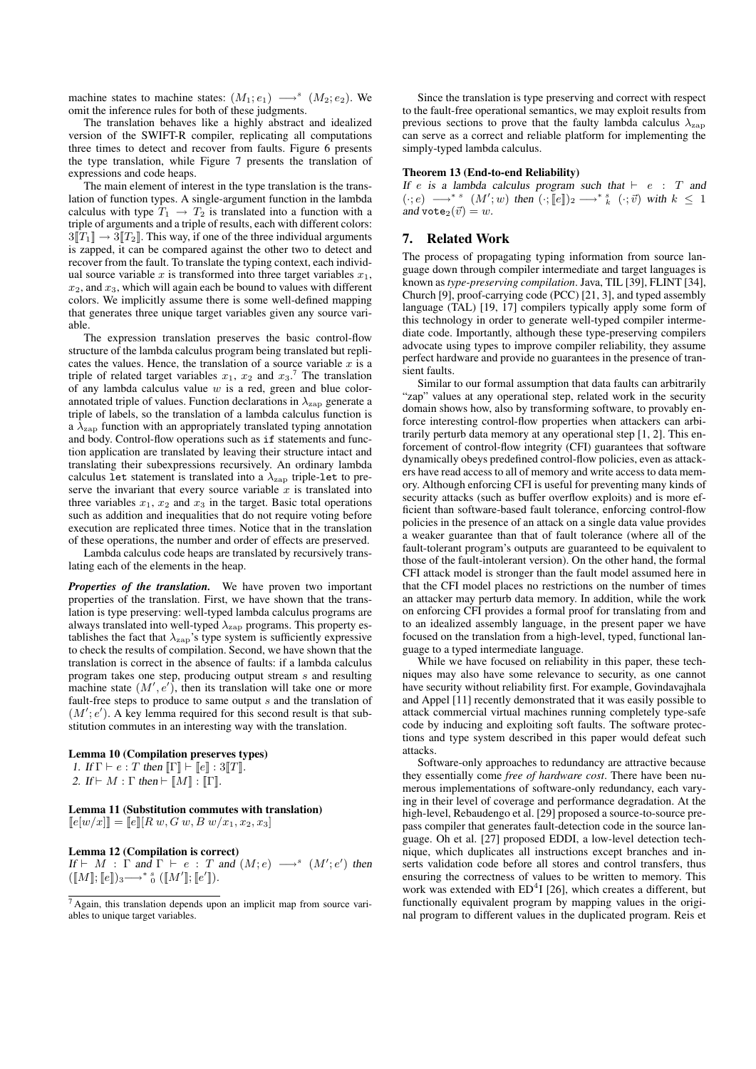machine states to machine states:  $(M_1; e_1) \longrightarrow^s (M_2; e_2)$ . We omit the inference rules for both of these judgments.

The translation behaves like a highly abstract and idealized version of the SWIFT-R compiler, replicating all computations three times to detect and recover from faults. Figure 6 presents the type translation, while Figure 7 presents the translation of expressions and code heaps.

The main element of interest in the type translation is the translation of function types. A single-argument function in the lambda calculus with type  $T_1 \rightarrow T_2$  is translated into a function with a triple of arguments and a triple of results, each with different colors:  $3[T_1] \rightarrow 3[T_2]$ . This way, if one of the three individual arguments is zapped, it can be compared against the other two to detect and recover from the fault. To translate the typing context, each individual source variable x is transformed into three target variables  $x_1$ ,  $x_2$ , and  $x_3$ , which will again each be bound to values with different colors. We implicitly assume there is some well-defined mapping that generates three unique target variables given any source variable.

The expression translation preserves the basic control-flow structure of the lambda calculus program being translated but replicates the values. Hence, the translation of a source variable  $x$  is a triple of related target variables  $x_1$ ,  $x_2$  and  $x_3$ .<sup>7</sup> The translation of any lambda calculus value  $w$  is a red, green and blue colorannotated triple of values. Function declarations in  $\lambda_{\text{zap}}$  generate a triple of labels, so the translation of a lambda calculus function is a  $\lambda_{\text{zan}}$  function with an appropriately translated typing annotation and body. Control-flow operations such as if statements and function application are translated by leaving their structure intact and translating their subexpressions recursively. An ordinary lambda calculus let statement is translated into a  $\lambda_{\text{zap}}$  triple-let to preserve the invariant that every source variable  $x$  is translated into three variables  $x_1$ ,  $x_2$  and  $x_3$  in the target. Basic total operations such as addition and inequalities that do not require voting before execution are replicated three times. Notice that in the translation of these operations, the number and order of effects are preserved.

Lambda calculus code heaps are translated by recursively translating each of the elements in the heap.

*Properties of the translation.* We have proven two important properties of the translation. First, we have shown that the translation is type preserving: well-typed lambda calculus programs are always translated into well-typed  $\lambda_{\text{zap}}$  programs. This property establishes the fact that  $\lambda_{\text{zap}}$ 's type system is sufficiently expressive to check the results of compilation. Second, we have shown that the translation is correct in the absence of faults: if a lambda calculus program takes one step, producing output stream s and resulting machine state  $(M', e'),$  then its translation will take one or more fault-free steps to produce to same output s and the translation of  $(M'; e')$ . A key lemma required for this second result is that substitution commutes in an interesting way with the translation.

#### Lemma 10 (Compilation preserves types)

1. If  $\Gamma \vdash e : T$  then  $\llbracket \Gamma \rrbracket \vdash [e] : 3\llbracket T \rrbracket$ . 2. If  $\vdash M : \Gamma$  then  $\vdash$   $\llbracket M \rrbracket : \llbracket \Gamma \rrbracket$ .

#### Lemma 11 (Substitution commutes with translation)

 $[[e[w/x]]] = [[e]][R w, G w, B w/x_1, x_2, x_3]$ 

#### Lemma 12 (Compilation is correct)

If  $\vdash M : \Gamma$  and  $\Gamma \vdash e : T$  and  $(M; e) \longrightarrow^s (M'; e')$  then  $([M]; [e])_3 \longrightarrow^* \begin{matrix} s \\ 0 \end{matrix} ([M'], [e'])$ .

Since the translation is type preserving and correct with respect to the fault-free operational semantics, we may exploit results from previous sections to prove that the faulty lambda calculus  $\lambda_{\rm{zap}}$ can serve as a correct and reliable platform for implementing the simply-typed lambda calculus.

## Theorem 13 (End-to-end Reliability)

If e is a lambda calculus program such that  $\vdash e : T$  and  $(\cdot; e) \longrightarrow^{* s} (M'; w)$  then  $(\cdot; [e])_2 \longrightarrow^{* s} (\cdot; \vec{v})$  with  $k \leq 1$ and vote<sub>2</sub> $(\vec{v}) = w$ .

## 7. Related Work

The process of propagating typing information from source language down through compiler intermediate and target languages is known as *type-preserving compilation*. Java, TIL [39], FLINT [34], Church [9], proof-carrying code (PCC) [21, 3], and typed assembly language (TAL) [19, 17] compilers typically apply some form of this technology in order to generate well-typed compiler intermediate code. Importantly, although these type-preserving compilers advocate using types to improve compiler reliability, they assume perfect hardware and provide no guarantees in the presence of transient faults.

Similar to our formal assumption that data faults can arbitrarily "zap" values at any operational step, related work in the security domain shows how, also by transforming software, to provably enforce interesting control-flow properties when attackers can arbitrarily perturb data memory at any operational step [1, 2]. This enforcement of control-flow integrity (CFI) guarantees that software dynamically obeys predefined control-flow policies, even as attackers have read access to all of memory and write access to data memory. Although enforcing CFI is useful for preventing many kinds of security attacks (such as buffer overflow exploits) and is more efficient than software-based fault tolerance, enforcing control-flow policies in the presence of an attack on a single data value provides a weaker guarantee than that of fault tolerance (where all of the fault-tolerant program's outputs are guaranteed to be equivalent to those of the fault-intolerant version). On the other hand, the formal CFI attack model is stronger than the fault model assumed here in that the CFI model places no restrictions on the number of times an attacker may perturb data memory. In addition, while the work on enforcing CFI provides a formal proof for translating from and to an idealized assembly language, in the present paper we have focused on the translation from a high-level, typed, functional language to a typed intermediate language.

While we have focused on reliability in this paper, these techniques may also have some relevance to security, as one cannot have security without reliability first. For example, Govindavajhala and Appel [11] recently demonstrated that it was easily possible to attack commercial virtual machines running completely type-safe code by inducing and exploiting soft faults. The software protections and type system described in this paper would defeat such attacks.

Software-only approaches to redundancy are attractive because they essentially come *free of hardware cost*. There have been numerous implementations of software-only redundancy, each varying in their level of coverage and performance degradation. At the high-level, Rebaudengo et al. [29] proposed a source-to-source prepass compiler that generates fault-detection code in the source language. Oh et al. [27] proposed EDDI, a low-level detection technique, which duplicates all instructions except branches and inserts validation code before all stores and control transfers, thus ensuring the correctness of values to be written to memory. This work was extended with ED<sup>4</sup>I [26], which creates a different, but functionally equivalent program by mapping values in the original program to different values in the duplicated program. Reis et

 $\sqrt{7}$  Again, this translation depends upon an implicit map from source variables to unique target variables.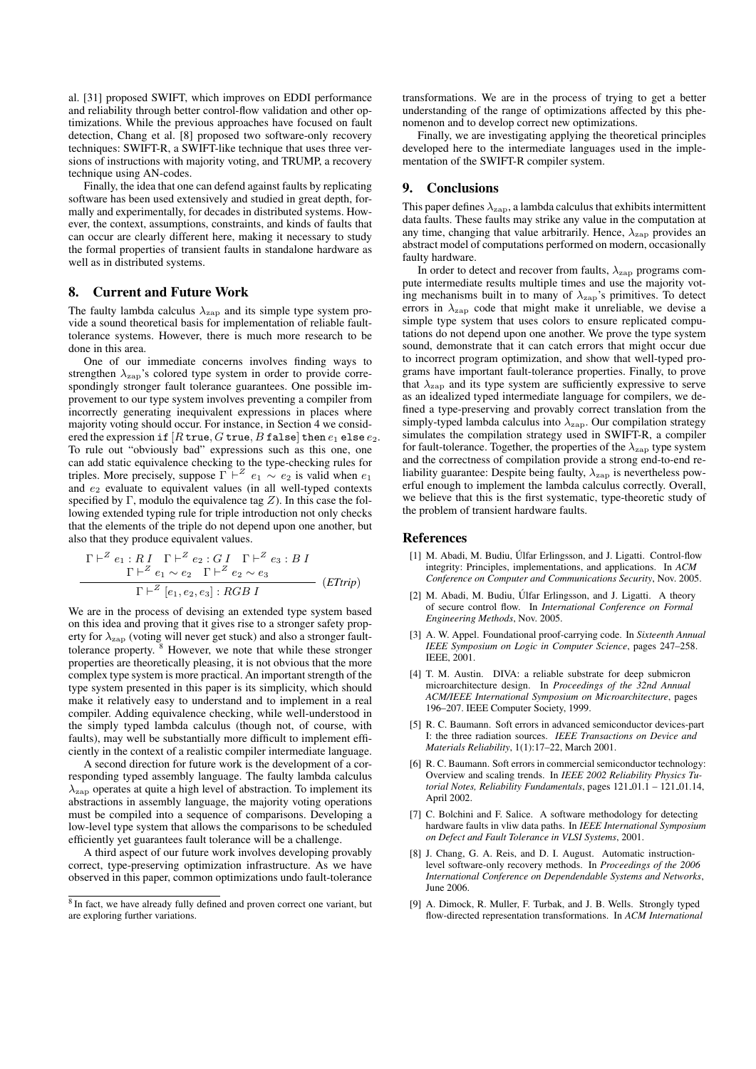al. [31] proposed SWIFT, which improves on EDDI performance and reliability through better control-flow validation and other optimizations. While the previous approaches have focused on fault detection, Chang et al. [8] proposed two software-only recovery techniques: SWIFT-R, a SWIFT-like technique that uses three versions of instructions with majority voting, and TRUMP, a recovery technique using AN-codes.

Finally, the idea that one can defend against faults by replicating software has been used extensively and studied in great depth, formally and experimentally, for decades in distributed systems. However, the context, assumptions, constraints, and kinds of faults that can occur are clearly different here, making it necessary to study the formal properties of transient faults in standalone hardware as well as in distributed systems.

## 8. Current and Future Work

The faulty lambda calculus  $\lambda_{\text{zap}}$  and its simple type system provide a sound theoretical basis for implementation of reliable faulttolerance systems. However, there is much more research to be done in this area.

One of our immediate concerns involves finding ways to strengthen  $\lambda_{\rm{zan}}$ 's colored type system in order to provide correspondingly stronger fault tolerance guarantees. One possible improvement to our type system involves preventing a compiler from incorrectly generating inequivalent expressions in places where majority voting should occur. For instance, in Section 4 we considered the expression if  $[R$  true,  $G$  true,  $B$  false then  $e_1$  else  $e_2$ . To rule out "obviously bad" expressions such as this one, one can add static equivalence checking to the type-checking rules for triples. More precisely, suppose  $\Gamma \vdash^{Z} e_1 \sim e_2$  is valid when  $e_1$ and  $e_2$  evaluate to equivalent values (in all well-typed contexts specified by Γ, modulo the equivalence tag  $Z$ ). In this case the following extended typing rule for triple introduction not only checks that the elements of the triple do not depend upon one another, but also that they produce equivalent values.

$$
\frac{\Gamma \vdash^Z e_1 : R I \quad \Gamma \vdash^Z e_2 : G I \quad \Gamma \vdash^Z e_3 : B I}{\Gamma \vdash^Z e_1 \sim e_2 \quad \Gamma \vdash^Z e_2 \sim e_3}
$$
\n
$$
\frac{\Gamma \vdash^Z [e_1, e_2, e_3] : RGB I}{\Gamma \vdash^Z [e_1, e_2, e_3] : RGB I}
$$
\n(ETrrip)

We are in the process of devising an extended type system based on this idea and proving that it gives rise to a stronger safety property for  $\lambda_{\text{zap}}$  (voting will never get stuck) and also a stronger faulttolerance property. <sup>8</sup> However, we note that while these stronger properties are theoretically pleasing, it is not obvious that the more complex type system is more practical. An important strength of the type system presented in this paper is its simplicity, which should make it relatively easy to understand and to implement in a real compiler. Adding equivalence checking, while well-understood in the simply typed lambda calculus (though not, of course, with faults), may well be substantially more difficult to implement efficiently in the context of a realistic compiler intermediate language.

A second direction for future work is the development of a corresponding typed assembly language. The faulty lambda calculus  $\lambda_{\text{zan}}$  operates at quite a high level of abstraction. To implement its abstractions in assembly language, the majority voting operations must be compiled into a sequence of comparisons. Developing a low-level type system that allows the comparisons to be scheduled efficiently yet guarantees fault tolerance will be a challenge.

A third aspect of our future work involves developing provably correct, type-preserving optimization infrastructure. As we have observed in this paper, common optimizations undo fault-tolerance transformations. We are in the process of trying to get a better understanding of the range of optimizations affected by this phenomenon and to develop correct new optimizations.

Finally, we are investigating applying the theoretical principles developed here to the intermediate languages used in the implementation of the SWIFT-R compiler system.

## 9. Conclusions

This paper defines  $\lambda_{\rm{zap}}$ , a lambda calculus that exhibits intermittent data faults. These faults may strike any value in the computation at any time, changing that value arbitrarily. Hence,  $\lambda_{\text{zap}}$  provides an abstract model of computations performed on modern, occasionally faulty hardware.

In order to detect and recover from faults,  $\lambda_{\text{zap}}$  programs compute intermediate results multiple times and use the majority voting mechanisms built in to many of  $\lambda_{\text{zap}}$ 's primitives. To detect errors in  $\lambda_{\text{zap}}$  code that might make it unreliable, we devise a simple type system that uses colors to ensure replicated computations do not depend upon one another. We prove the type system sound, demonstrate that it can catch errors that might occur due to incorrect program optimization, and show that well-typed programs have important fault-tolerance properties. Finally, to prove that  $\lambda_{\text{zan}}$  and its type system are sufficiently expressive to serve as an idealized typed intermediate language for compilers, we defined a type-preserving and provably correct translation from the simply-typed lambda calculus into  $\lambda_{\text{zap}}$ . Our compilation strategy simulates the compilation strategy used in SWIFT-R, a compiler for fault-tolerance. Together, the properties of the  $\lambda_{\rm{zap}}$  type system and the correctness of compilation provide a strong end-to-end reliability guarantee: Despite being faulty,  $\lambda_{\text{zap}}$  is nevertheless powerful enough to implement the lambda calculus correctly. Overall, we believe that this is the first systematic, type-theoretic study of the problem of transient hardware faults.

## References

- [1] M. Abadi, M. Budiu, Úlfar Erlingsson, and J. Ligatti. Control-flow integrity: Principles, implementations, and applications. In *ACM Conference on Computer and Communications Security*, Nov. 2005.
- [2] M. Abadi, M. Budiu, Úlfar Erlingsson, and J. Ligatti. A theory of secure control flow. In *International Conference on Formal Engineering Methods*, Nov. 2005.
- [3] A. W. Appel. Foundational proof-carrying code. In *Sixteenth Annual IEEE Symposium on Logic in Computer Science*, pages 247–258. IEEE, 2001.
- [4] T. M. Austin. DIVA: a reliable substrate for deep submicron microarchitecture design. In *Proceedings of the 32nd Annual ACM/IEEE International Symposium on Microarchitecture*, pages 196–207. IEEE Computer Society, 1999.
- [5] R. C. Baumann. Soft errors in advanced semiconductor devices-part I: the three radiation sources. *IEEE Transactions on Device and Materials Reliability*, 1(1):17–22, March 2001.
- [6] R. C. Baumann. Soft errors in commercial semiconductor technology: Overview and scaling trends. In *IEEE 2002 Reliability Physics Tu*torial Notes, Reliability Fundamentals, pages 121<sub>-01.1</sub> – 121<sub>-01.14</sub>, April 2002.
- [7] C. Bolchini and F. Salice. A software methodology for detecting hardware faults in vliw data paths. In *IEEE International Symposium on Defect and Fault Tolerance in VLSI Systems*, 2001.
- [8] J. Chang, G. A. Reis, and D. I. August. Automatic instructionlevel software-only recovery methods. In *Proceedings of the 2006 International Conference on Dependendable Systems and Networks*, June 2006.
- [9] A. Dimock, R. Muller, F. Turbak, and J. B. Wells. Strongly typed flow-directed representation transformations. In *ACM International*

<sup>&</sup>lt;sup>8</sup> In fact, we have already fully defined and proven correct one variant, but are exploring further variations.